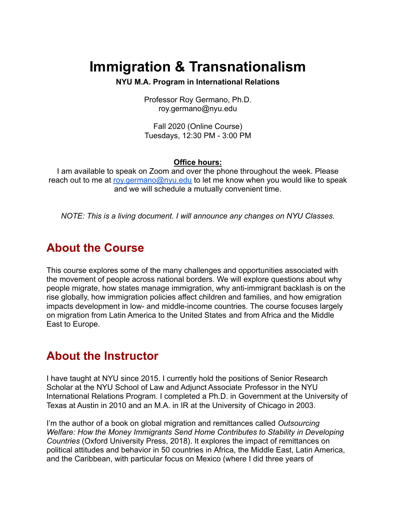# **Immigration & Transnationalism**

**NYU M.A. Program in International Relations**

Professor Roy Germano, Ph.D. roy.germano@nyu.edu

Fall 2020 (Online Course) Tuesdays, 12:30 PM - 3:00 PM

#### **Office hours:**

I am available to speak on Zoom and over the phone throughout the week. Please reach out to me at [roy.germano@nyu.edu](mailto:roy.germano@nyu.edu) to let me know when you would like to speak and we will schedule a mutually convenient time.

*NOTE: This is a living document. I will announce any changes on NYU Classes.*

### **About the Course**

This course explores some of the many challenges and opportunities associated with the movement of people across national borders. We will explore questions about why people migrate, how states manage immigration, why anti-immigrant backlash is on the rise globally, how immigration policies affect children and families, and how emigration impacts development in low- and middle-income countries. The course focuses largely on migration from Latin America to the United States and from Africa and the Middle East to Europe.

### **About the Instructor**

I have taught at NYU since 2015. I currently hold the positions of Senior Research Scholar at the NYU School of Law and Adjunct Associate Professor in the NYU International Relations Program. I completed a Ph.D. in Government at the University of Texas at Austin in 2010 and an M.A. in IR at the University of Chicago in 2003.

I'm the author of a book on global migration and remittances called *Outsourcing Welfare: How the Money Immigrants Send Home Contributes to Stability in Developing Countries* (Oxford University Press, 2018). It explores the impact of remittances on political attitudes and behavior in 50 countries in Africa, the Middle East, Latin America, and the Caribbean, with particular focus on Mexico (where I did three years of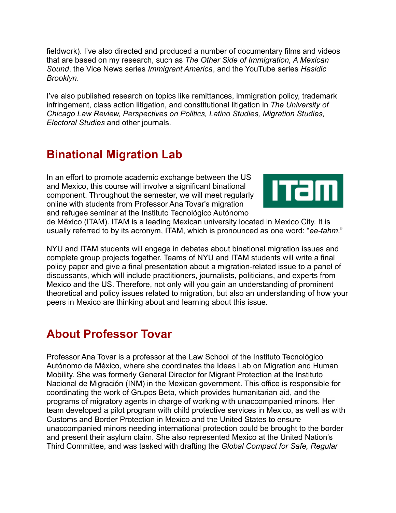fieldwork). I've also directed and produced a number of documentary films and videos that are based on my research, such as *The Other Side of Immigration, A Mexican Sound*, the Vice News series *Immigrant America*, and the YouTube series *Hasidic Brooklyn*.

I've also published research on topics like remittances, immigration policy, trademark infringement, class action litigation, and constitutional litigation in *The University of Chicago Law Review, Perspectives on Politics, Latino Studies, Migration Studies, Electoral Studies* and other journals.

## **Binational Migration Lab**

In an effort to promote academic exchange between the US and Mexico, this course will involve a significant binational component. Throughout the semester, we will meet regularly online with students from Professor Ana Tovar's migration and refugee seminar at the Instituto Tecnológico Autónomo



de México (ITAM). ITAM is a leading Mexican university located in Mexico City. It is usually referred to by its acronym, ITAM, which is pronounced as one word: "*ee-tahm*."

NYU and ITAM students will engage in debates about binational migration issues and complete group projects together. Teams of NYU and ITAM students will write a final policy paper and give a final presentation about a migration-related issue to a panel of discussants, which will include practitioners, journalists, politicians, and experts from Mexico and the US. Therefore, not only will you gain an understanding of prominent theoretical and policy issues related to migration, but also an understanding of how your peers in Mexico are thinking about and learning about this issue.

### **About Professor Tovar**

Professor Ana Tovar is a professor at the Law School of the Instituto Tecnológico Autónomo de México, where she coordinates the Ideas Lab on Migration and Human Mobility. She was formerly General Director for Migrant Protection at the Instituto Nacional de Migración (INM) in the Mexican government. This office is responsible for coordinating the work of Grupos Beta, which provides humanitarian aid, and the programs of migratory agents in charge of working with unaccompanied minors. Her team developed a pilot program with child protective services in Mexico, as well as with Customs and Border Protection in Mexico and the United States to ensure unaccompanied minors needing international protection could be brought to the border and present their asylum claim. She also represented Mexico at the United Nation's Third Committee, and was tasked with drafting the *Global Compact for Safe, Regular*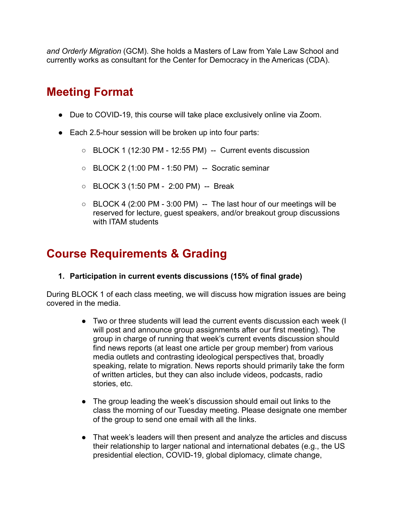*and Orderly Migration* (GCM). She holds a Masters of Law from Yale Law School and currently works as consultant for the Center for Democracy in the Americas (CDA).

# **Meeting Format**

- Due to COVID-19, this course will take place exclusively online via Zoom.
- Each 2.5-hour session will be broken up into four parts:
	- BLOCK 1 (12:30 PM 12:55 PM) -- Current events discussion
	- BLOCK 2 (1:00 PM 1:50 PM) -- Socratic seminar
	- BLOCK 3 (1:50 PM 2:00 PM) -- Break
	- $\circ$  BLOCK 4 (2:00 PM 3:00 PM) -- The last hour of our meetings will be reserved for lecture, guest speakers, and/or breakout group discussions with ITAM students

## **Course Requirements & Grading**

**1. Participation in current events discussions (15% of final grade)**

During BLOCK 1 of each class meeting, we will discuss how migration issues are being covered in the media.

- Two or three students will lead the current events discussion each week (I will post and announce group assignments after our first meeting). The group in charge of running that week's current events discussion should find news reports (at least one article per group member) from various media outlets and contrasting ideological perspectives that, broadly speaking, relate to migration. News reports should primarily take the form of written articles, but they can also include videos, podcasts, radio stories, etc.
- The group leading the week's discussion should email out links to the class the morning of our Tuesday meeting. Please designate one member of the group to send one email with all the links.
- That week's leaders will then present and analyze the articles and discuss their relationship to larger national and international debates (e.g., the US presidential election, COVID-19, global diplomacy, climate change,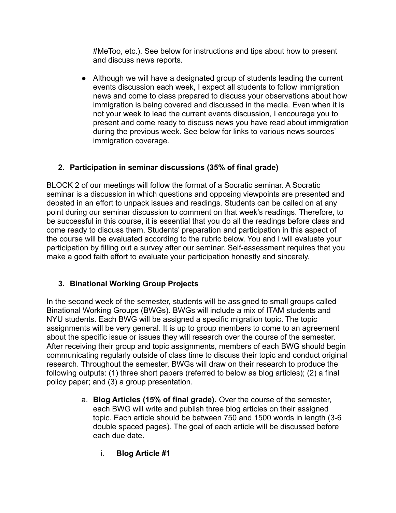#MeToo, etc.). See below for instructions and tips about how to present and discuss news reports.

● Although we will have a designated group of students leading the current events discussion each week, I expect all students to follow immigration news and come to class prepared to discuss your observations about how immigration is being covered and discussed in the media. Even when it is not your week to lead the current events discussion, I encourage you to present and come ready to discuss news you have read about immigration during the previous week. See below for links to various news sources' immigration coverage.

#### **2. Participation in seminar discussions (35% of final grade)**

BLOCK 2 of our meetings will follow the format of a Socratic seminar. A Socratic seminar is a discussion in which questions and opposing viewpoints are presented and debated in an effort to unpack issues and readings. Students can be called on at any point during our seminar discussion to comment on that week's readings. Therefore, to be successful in this course, it is essential that you do all the readings before class and come ready to discuss them. Students' preparation and participation in this aspect of the course will be evaluated according to the rubric below. You and I will evaluate your participation by filling out a survey after our seminar. Self-assessment requires that you make a good faith effort to evaluate your participation honestly and sincerely.

#### **3. Binational Working Group Projects**

In the second week of the semester, students will be assigned to small groups called Binational Working Groups (BWGs). BWGs will include a mix of ITAM students and NYU students. Each BWG will be assigned a specific migration topic. The topic assignments will be very general. It is up to group members to come to an agreement about the specific issue or issues they will research over the course of the semester. After receiving their group and topic assignments, members of each BWG should begin communicating regularly outside of class time to discuss their topic and conduct original research. Throughout the semester, BWGs will draw on their research to produce the following outputs: (1) three short papers (referred to below as blog articles); (2) a final policy paper; and (3) a group presentation.

- a. **Blog Articles (15% of final grade).** Over the course of the semester, each BWG will write and publish three blog articles on their assigned topic. Each article should be between 750 and 1500 words in length (3-6 double spaced pages). The goal of each article will be discussed before each due date.
	- i. **Blog Article #1**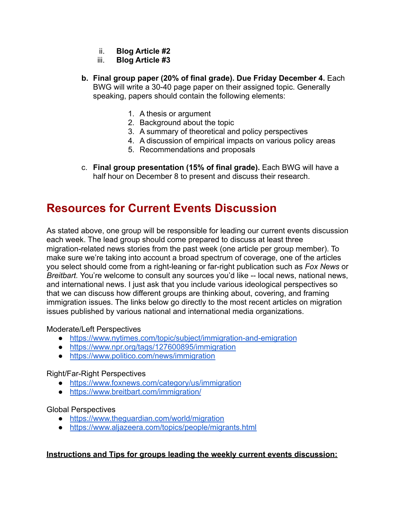- ii. **Blog Article #2**
- iii. **Blog Article #3**
- **b. Final group paper (20% of final grade). Due Friday December 4.** Each BWG will write a 30-40 page paper on their assigned topic. Generally speaking, papers should contain the following elements:
	- 1. A thesis or argument
	- 2. Background about the topic
	- 3. A summary of theoretical and policy perspectives
	- 4. A discussion of empirical impacts on various policy areas
	- 5. Recommendations and proposals
- c. **Final group presentation (15% of final grade).** Each BWG will have a half hour on December 8 to present and discuss their research.

### **Resources for Current Events Discussion**

As stated above, one group will be responsible for leading our current events discussion each week. The lead group should come prepared to discuss at least three migration-related news stories from the past week (one article per group member). To make sure we're taking into account a broad spectrum of coverage, one of the articles you select should come from a right-leaning or far-right publication such as *Fox News* or *Breitbart.* You're welcome to consult any sources you'd like -- local news, national news, and international news. I just ask that you include various ideological perspectives so that we can discuss how different groups are thinking about, covering, and framing immigration issues. The links below go directly to the most recent articles on migration issues published by various national and international media organizations.

#### Moderate/Left Perspectives

- <https://www.nytimes.com/topic/subject/immigration-and-emigration>
- <https://www.npr.org/tags/127600895/immigration>
- <https://www.politico.com/news/immigration>

#### Right/Far-Right Perspectives

- <https://www.foxnews.com/category/us/immigration>
- <https://www.breitbart.com/immigration/>

#### Global Perspectives

- <https://www.theguardian.com/world/migration>
- <https://www.aljazeera.com/topics/people/migrants.html>

#### **Instructions and Tips for groups leading the weekly current events discussion:**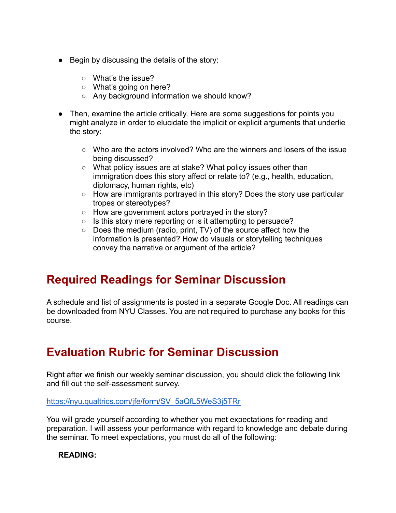- Begin by discussing the details of the story:
	- What's the issue?
	- What's going on here?
	- Any background information we should know?
- Then, examine the article critically. Here are some suggestions for points you might analyze in order to elucidate the implicit or explicit arguments that underlie the story:
	- Who are the actors involved? Who are the winners and losers of the issue being discussed?
	- What policy issues are at stake? What policy issues other than immigration does this story affect or relate to? (e.g., health, education, diplomacy, human rights, etc)
	- How are immigrants portrayed in this story? Does the story use particular tropes or stereotypes?
	- How are government actors portrayed in the story?
	- Is this story mere reporting or is it attempting to persuade?
	- Does the medium (radio, print, TV) of the source affect how the information is presented? How do visuals or storytelling techniques convey the narrative or argument of the article?

### **Required Readings for Seminar Discussion**

A schedule and list of assignments is posted in a separate Google Doc. All readings can be downloaded from NYU Classes. You are not required to purchase any books for this course.

# **Evaluation Rubric for Seminar Discussion**

Right after we finish our weekly seminar discussion, you should click the following link and fill out the self-assessment survey.

[https://nyu.qualtrics.com/jfe/form/SV\\_5aQfL5WeS3j5TRr](https://nyu.qualtrics.com/jfe/form/SV_5aQfL5WeS3j5TRr)

You will grade yourself according to whether you met expectations for reading and preparation. I will assess your performance with regard to knowledge and debate during the seminar. To meet expectations, you must do all of the following:

#### **READING:**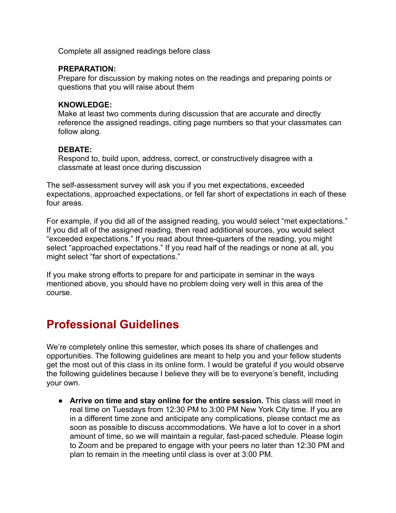Complete all assigned readings before class

#### **PREPARATION:**

Prepare for discussion by making notes on the readings and preparing points or questions that you will raise about them

#### **KNOWLEDGE:**

Make at least two comments during discussion that are accurate and directly reference the assigned readings, citing page numbers so that your classmates can follow along.

#### **DEBATE:**

Respond to, build upon, address, correct, or constructively disagree with a classmate at least once during discussion

The self-assessment survey will ask you if you met expectations, exceeded expectations, approached expectations, or fell far short of expectations in each of these four areas.

For example, if you did all of the assigned reading, you would select "met expectations." If you did all of the assigned reading, then read additional sources, you would select "exceeded expectations." If you read about three-quarters of the reading, you might select "approached expectations." If you read half of the readings or none at all, you might select "far short of expectations."

If you make strong efforts to prepare for and participate in seminar in the ways mentioned above, you should have no problem doing very well in this area of the course.

### **Professional Guidelines**

We're completely online this semester, which poses its share of challenges and opportunities. The following guidelines are meant to help you and your fellow students get the most out of this class in its online form. I would be grateful if you would observe the following guidelines because I believe they will be to everyone's benefit, including your own.

● **Arrive on time and stay online for the entire session.** This class will meet in real time on Tuesdays from 12:30 PM to 3:00 PM New York City time. If you are in a different time zone and anticipate any complications, please contact me as soon as possible to discuss accommodations. We have a lot to cover in a short amount of time, so we will maintain a regular, fast-paced schedule. Please login to Zoom and be prepared to engage with your peers no later than 12:30 PM and plan to remain in the meeting until class is over at 3:00 PM.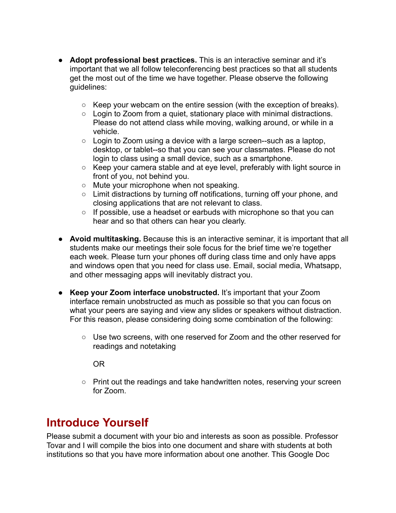- **Adopt professional best practices.** This is an interactive seminar and it's important that we all follow teleconferencing best practices so that all students get the most out of the time we have together. Please observe the following guidelines:
	- Keep your webcam on the entire session (with the exception of breaks).
	- Login to Zoom from a quiet, stationary place with minimal distractions. Please do not attend class while moving, walking around, or while in a vehicle.
	- Login to Zoom using a device with a large screen--such as a laptop, desktop, or tablet--so that you can see your classmates. Please do not login to class using a small device, such as a smartphone.
	- Keep your camera stable and at eye level, preferably with light source in front of you, not behind you.
	- Mute your microphone when not speaking.
	- Limit distractions by turning off notifications, turning off your phone, and closing applications that are not relevant to class.
	- If possible, use a headset or earbuds with microphone so that you can hear and so that others can hear you clearly.
- **Avoid multitasking.** Because this is an interactive seminar, it is important that all students make our meetings their sole focus for the brief time we're together each week. Please turn your phones off during class time and only have apps and windows open that you need for class use. Email, social media, Whatsapp, and other messaging apps will inevitably distract you.
- **● Keep your Zoom interface unobstructed.** It's important that your Zoom interface remain unobstructed as much as possible so that you can focus on what your peers are saying and view any slides or speakers without distraction. For this reason, please considering doing some combination of the following:
	- Use two screens, with one reserved for Zoom and the other reserved for readings and notetaking

OR

○ Print out the readings and take handwritten notes, reserving your screen for Zoom.

# **Introduce Yourself**

Please submit a document with your bio and interests as soon as possible. Professor Tovar and I will compile the bios into one document and share with students at both institutions so that you have more information about one another. This Google Doc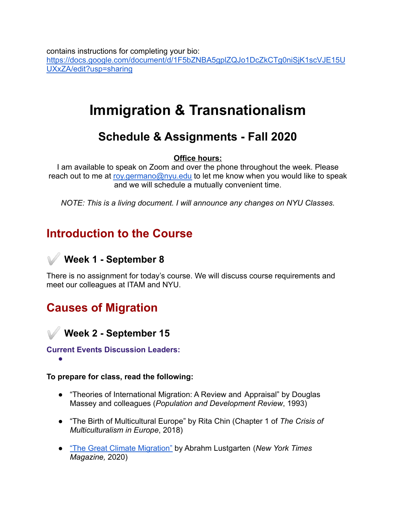contains instructions for completing your bio: [https://docs.google.com/document/d/1F5bZNBA5gplZQJo1DcZkCTg0niSjK1scVJE15U](https://docs.google.com/document/d/1F5bZNBA5gplZQJo1DcZkCTg0niSjK1scVJE15UUXxZA/edit?usp=sharing) [UXxZA/edit?usp=sharing](https://docs.google.com/document/d/1F5bZNBA5gplZQJo1DcZkCTg0niSjK1scVJE15UUXxZA/edit?usp=sharing)

# **Immigration & Transnationalism**

# **Schedule & Assignments - Fall 2020**

#### **Office hours:**

I am available to speak on Zoom and over the phone throughout the week. Please reach out to me at [roy.germano@nyu.edu](mailto:roy.germano@nyu.edu) to let me know when you would like to speak and we will schedule a mutually convenient time.

*NOTE: This is a living document. I will announce any changes on NYU Classes.*

# **Introduction to the Course**

### ✅ **Week 1 - September 8**

There is no assignment for today's course. We will discuss course requirements and meet our colleagues at ITAM and NYU.

# **Causes of Migration**

✅ **Week 2 - September 15**

#### **Current Events Discussion Leaders:** ●

**To prepare for class, read the following:**

- "Theories of International Migration: A Review and Appraisal" by Douglas Massey and colleagues (*Population and Development Review*, 1993)
- "The Birth of Multicultural Europe" by Rita Chin (Chapter 1 of *The Crisis of Multiculturalism in Europe*, 2018)
- ["The Great Climate Migration"](https://www.nytimes.com/interactive/2020/07/23/magazine/climate-migration.html) by Abrahm Lustgarten (*New York Times Magazine,* 2020)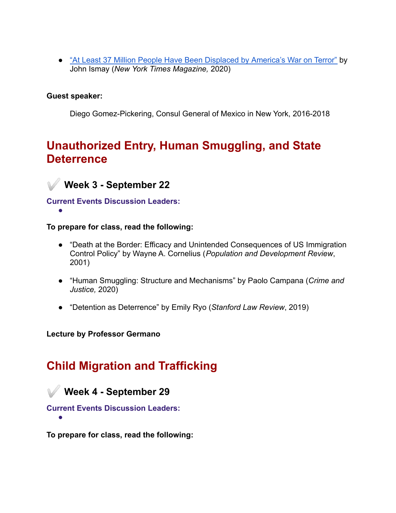• ["At Least 37 Million People Have Been Displaced by](https://www.nytimes.com/2020/09/08/magazine/displaced-war-on-terror.html) America's War on Terror" by John Ismay (*New York Times Magazine,* 2020)

#### **Guest speaker:**

Diego Gomez-Pickering, Consul General of Mexico in New York, 2016-2018

# **Unauthorized Entry, Human Smuggling, and State Deterrence**



✅ **Week 3 - September 22**

**Current Events Discussion Leaders:** ●

**To prepare for class, read the following:**

- "Death at the Border: Efficacy and Unintended Consequences of US Immigration Control Policy" by Wayne A. Cornelius (*Population and Development Review*, 2001)
- "Human Smuggling: Structure and Mechanisms" by Paolo Campana (*Crime and Justice,* 2020)
- "Detention as Deterrence" by Emily Ryo (*Stanford Law Review*, 2019)

**Lecture by Professor Germano**

# **Child Migration and Trafficking**

### ✅ **Week 4 - September 29**

**Current Events Discussion Leaders:**

●

**To prepare for class, read the following:**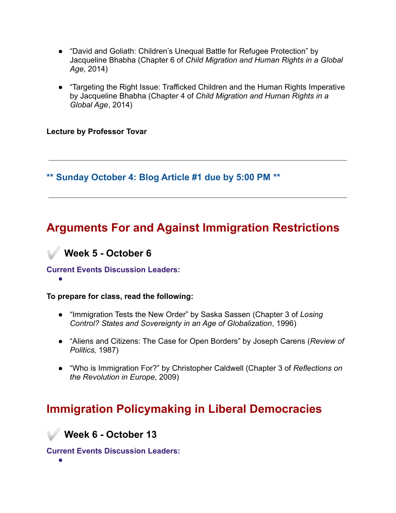- "David and Goliath: Children's Unequal Battle for Refugee Protection" by Jacqueline Bhabha (Chapter 6 of *Child Migration and Human Rights in a Global Age*, 2014)
- "Targeting the Right Issue: Trafficked Children and the Human Rights Imperative by Jacqueline Bhabha (Chapter 4 of *Child Migration and Human Rights in a Global Age*, 2014)

**Lecture by Professor Tovar**

**\*\* Sunday October 4: Blog Article #1 due by 5:00 PM \*\***

# **Arguments For and Against Immigration Restrictions**



#### **Current Events Discussion Leaders:**

#### **To prepare for class, read the following:**

- "Immigration Tests the New Order" by Saska Sassen (Chapter 3 of *Losing Control? States and Sovereignty in an Age of Globalization*, 1996)
- "Aliens and Citizens: The Case for Open Borders" by Joseph Carens (*Review of Politics,* 1987)
- "Who is Immigration For?" by Christopher Caldwell (Chapter 3 of *Reflections on the Revolution in Europe*, 2009)

# **Immigration Policymaking in Liberal Democracies**

✅ **Week 6 - October 13**

**Current Events Discussion Leaders:**

●

●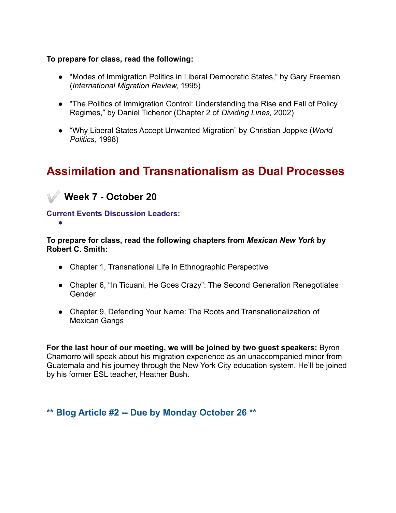#### **To prepare for class, read the following:**

- "Modes of Immigration Politics in Liberal Democratic States," by Gary Freeman (*International Migration Review,* 1995)
- "The Politics of Immigration Control: Understanding the Rise and Fall of Policy Regimes," by Daniel Tichenor (Chapter 2 of *Dividing Lines,* 2002)
- "Why Liberal States Accept Unwanted Migration" by Christian Joppke (*World Politics,* 1998)

# **Assimilation and Transnationalism as Dual Processes**

✅ **Week 7 - October 20**

●

**Current Events Discussion Leaders:**

**To prepare for class, read the following chapters from** *Mexican New York* **by Robert C. Smith:**

- Chapter 1, Transnational Life in Ethnographic Perspective
- Chapter 6, "In Ticuani, He Goes Crazy": The Second Generation Renegotiates Gender
- Chapter 9, Defending Your Name: The Roots and Transnationalization of Mexican Gangs

**For the last hour of our meeting, we will be joined by two guest speakers:** Byron Chamorro will speak about his migration experience as an unaccompanied minor from Guatemala and his journey through the New York City education system. He'll be joined by his former ESL teacher, Heather Bush.

**\*\* Blog Article #2 -- Due by Monday October 26 \*\***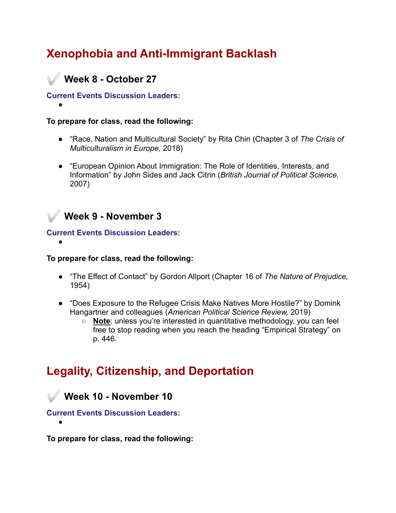# **Xenophobia and Anti-Immigrant Backlash**

### ✅ **Week 8 - October 27**

#### **Current Events Discussion Leaders:** ●

#### **To prepare for class, read the following:**

- "Race, Nation and Multicultural Society" by Rita Chin (Chapter 3 of *The Crisis of Multiculturalism in Europe*, 2018)
- "European Opinion About Immigration: The Role of Identities, Interests, and Information" by John Sides and Jack Citrin (*British Journal of Political Science,* 2007)



●

#### **Current Events Discussion Leaders:**

#### **To prepare for class, read the following:**

- "The Effect of Contact" by Gordon Allport (Chapter 16 of *The Nature of Prejudice,* 1954)
- "Does Exposure to the Refugee Crisis Make Natives More Hostile?" by Domink Hangartner and colleagues (*American Political Science Review,* 2019)
	- **Note**: unless you're interested in quantitative methodology, you can feel free to stop reading when you reach the heading "Empirical Strategy" on p. 446.

# **Legality, Citizenship, and Deportation**

✅ **Week 10 - November 10**

**Current Events Discussion Leaders:** ●

**To prepare for class, read the following:**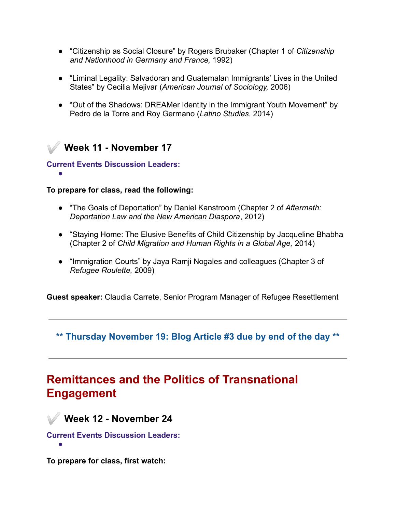- "Citizenship as Social Closure" by Rogers Brubaker (Chapter 1 of *Citizenship and Nationhood in Germany and France,* 1992)
- "Liminal Legality: Salvadoran and Guatemalan Immigrants' Lives in the United States" by Cecilia Mejivar (*American Journal of Sociology,* 2006)
- "Out of the Shadows: DREAMer Identity in the Immigrant Youth Movement" by Pedro de la Torre and Roy Germano (*Latino Studies*, 2014)

### ✅ **Week 11 - November 17**

#### **Current Events Discussion Leaders:**

●

#### **To prepare for class, read the following:**

- "The Goals of Deportation" by Daniel Kanstroom (Chapter 2 of *Aftermath: Deportation Law and the New American Diaspora*, 2012)
- "Staying Home: The Elusive Benefits of Child Citizenship by Jacqueline Bhabha (Chapter 2 of *Child Migration and Human Rights in a Global Age,* 2014)
- "Immigration Courts" by Jaya Ramji Nogales and colleagues (Chapter 3 of *Refugee Roulette,* 2009)

**Guest speaker:** Claudia Carrete, Senior Program Manager of Refugee Resettlement

**\*\* Thursday November 19: Blog Article #3 due by end of the day \*\***

# **Remittances and the Politics of Transnational Engagement**

✅ **Week 12 - November 24**

**Current Events Discussion Leaders:**

●

**To prepare for class, first watch:**